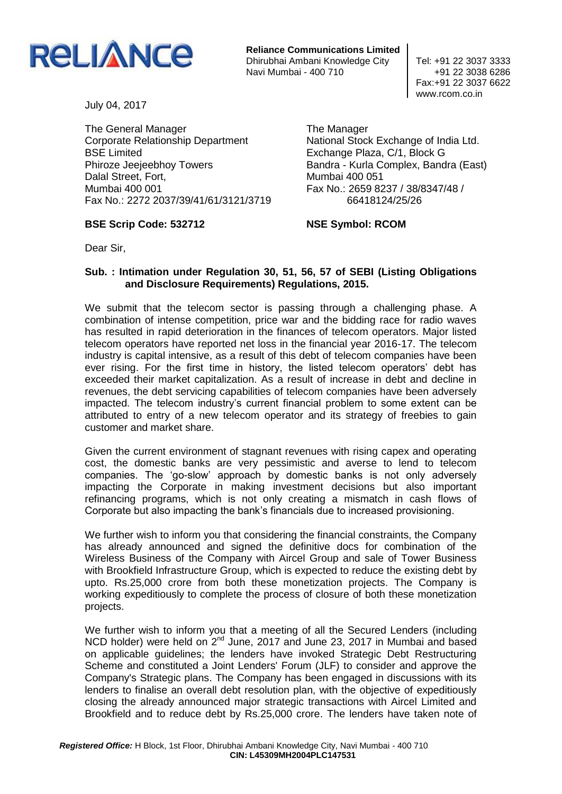

**Reliance Communications Limited** Dhirubhai Ambani Knowledge City | Tel: +91 22 3037 3333 Navi Mumbai - 400 710  $+91$  22 3038 6286

The Manager

Fax:+91 22 3037 6622 www.rcom.co.in

July 04, 2017

The General Manager Corporate Relationship Department BSE Limited Phiroze Jeejeebhoy Towers Dalal Street, Fort, Mumbai 400 001 Fax No.: 2272 2037/39/41/61/3121/3719

## **BSE Scrip Code: 532712**

National Stock Exchange of India Ltd. Exchange Plaza, C/1, Block G Bandra - Kurla Complex, Bandra (East) Mumbai 400 051 Fax No.: 2659 8237 / 38/8347/48 / 66418124/25/26

**NSE Symbol: RCOM**

Dear Sir,

## **Sub. : Intimation under Regulation 30, 51, 56, 57 of SEBI (Listing Obligations and Disclosure Requirements) Regulations, 2015.**

We submit that the telecom sector is passing through a challenging phase. A combination of intense competition, price war and the bidding race for radio waves has resulted in rapid deterioration in the finances of telecom operators. Major listed telecom operators have reported net loss in the financial year 2016-17. The telecom industry is capital intensive, as a result of this debt of telecom companies have been ever rising. For the first time in history, the listed telecom operators' debt has exceeded their market capitalization. As a result of increase in debt and decline in revenues, the debt servicing capabilities of telecom companies have been adversely impacted. The telecom industry's current financial problem to some extent can be attributed to entry of a new telecom operator and its strategy of freebies to gain customer and market share.

Given the current environment of stagnant revenues with rising capex and operating cost, the domestic banks are very pessimistic and averse to lend to telecom companies. The 'go-slow' approach by domestic banks is not only adversely impacting the Corporate in making investment decisions but also important refinancing programs, which is not only creating a mismatch in cash flows of Corporate but also impacting the bank's financials due to increased provisioning.

We further wish to inform you that considering the financial constraints, the Company has already announced and signed the definitive docs for combination of the Wireless Business of the Company with Aircel Group and sale of Tower Business with Brookfield Infrastructure Group, which is expected to reduce the existing debt by upto. Rs.25,000 crore from both these monetization projects. The Company is working expeditiously to complete the process of closure of both these monetization projects.

We further wish to inform you that a meeting of all the Secured Lenders (including NCD holder) were held on 2<sup>nd</sup> June, 2017 and June 23, 2017 in Mumbai and based on applicable guidelines; the lenders have invoked Strategic Debt Restructuring Scheme and constituted a Joint Lenders' Forum (JLF) to consider and approve the Company's Strategic plans. The Company has been engaged in discussions with its lenders to finalise an overall debt resolution plan, with the objective of expeditiously closing the already announced major strategic transactions with Aircel Limited and Brookfield and to reduce debt by Rs.25,000 crore. The lenders have taken note of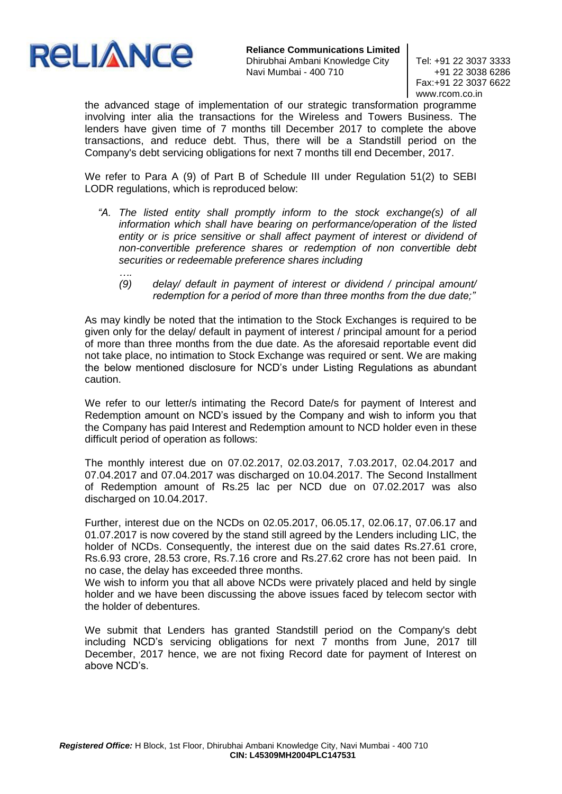

*….*

**Reliance Communications Limited** Dhirubhai Ambani Knowledge City | Tel: +91 22 3037 3333 Navi Mumbai - 400 710  $+91$  22 3038 6286

Fax:+91 22 3037 6622 www.rcom.co.in

the advanced stage of implementation of our strategic transformation programme involving inter alia the transactions for the Wireless and Towers Business. The lenders have given time of 7 months till December 2017 to complete the above transactions, and reduce debt. Thus, there will be a Standstill period on the Company's debt servicing obligations for next 7 months till end December, 2017.

We refer to Para A (9) of Part B of Schedule III under Regulation 51(2) to SEBI LODR regulations, which is reproduced below:

- *"A. The listed entity shall promptly inform to the stock exchange(s) of all information which shall have bearing on performance/operation of the listed*  entity or is price sensitive or shall affect payment of interest or dividend of *non-convertible preference shares or redemption of non convertible debt securities or redeemable preference shares including* 
	- *(9) delay/ default in payment of interest or dividend / principal amount/ redemption for a period of more than three months from the due date;"*

As may kindly be noted that the intimation to the Stock Exchanges is required to be given only for the delay/ default in payment of interest / principal amount for a period of more than three months from the due date. As the aforesaid reportable event did not take place, no intimation to Stock Exchange was required or sent. We are making the below mentioned disclosure for NCD's under Listing Regulations as abundant caution.

We refer to our letter/s intimating the Record Date/s for payment of Interest and Redemption amount on NCD's issued by the Company and wish to inform you that the Company has paid Interest and Redemption amount to NCD holder even in these difficult period of operation as follows:

The monthly interest due on 07.02.2017, 02.03.2017, 7.03.2017, 02.04.2017 and 07.04.2017 and 07.04.2017 was discharged on 10.04.2017. The Second Installment of Redemption amount of Rs.25 lac per NCD due on 07.02.2017 was also discharged on 10.04.2017.

Further, interest due on the NCDs on 02.05.2017, 06.05.17, 02.06.17, 07.06.17 and 01.07.2017 is now covered by the stand still agreed by the Lenders including LIC, the holder of NCDs. Consequently, the interest due on the said dates Rs.27.61 crore, Rs.6.93 crore, 28.53 crore, Rs.7.16 crore and Rs.27.62 crore has not been paid. In no case, the delay has exceeded three months.

We wish to inform you that all above NCDs were privately placed and held by single holder and we have been discussing the above issues faced by telecom sector with the holder of debentures.

We submit that Lenders has granted Standstill period on the Company's debt including NCD's servicing obligations for next 7 months from June, 2017 till December, 2017 hence, we are not fixing Record date for payment of Interest on above NCD's.